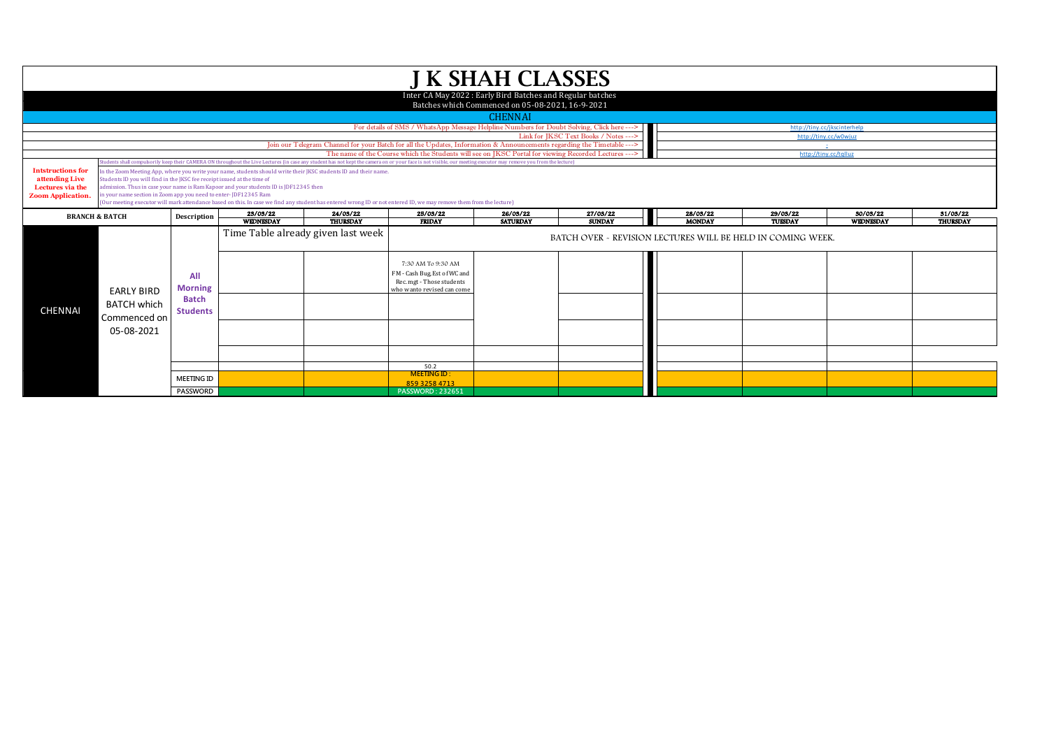|                           |                                                                         |                                 |                                                                                                                  |                      |                                                                                                                                                                                                                 | <b>J K SHAH CLASSES</b>                          |                                                             |                           |                       |                              |                             |
|---------------------------|-------------------------------------------------------------------------|---------------------------------|------------------------------------------------------------------------------------------------------------------|----------------------|-----------------------------------------------------------------------------------------------------------------------------------------------------------------------------------------------------------------|--------------------------------------------------|-------------------------------------------------------------|---------------------------|-----------------------|------------------------------|-----------------------------|
|                           |                                                                         |                                 |                                                                                                                  |                      | Inter CA May 2022 : Early Bird Batches and Regular batches                                                                                                                                                      | Batches which Commenced on 05-08-2021, 16-9-2021 |                                                             |                           |                       |                              |                             |
|                           |                                                                         |                                 |                                                                                                                  |                      |                                                                                                                                                                                                                 | <b>CHENNAI</b>                                   |                                                             |                           |                       |                              |                             |
|                           |                                                                         |                                 |                                                                                                                  |                      | For details of SMS / WhatsApp Message Helpline Numbers for Doubt Solving, Click here --->                                                                                                                       |                                                  |                                                             |                           |                       | http://tiny.cc/jkscinterhelp |                             |
|                           |                                                                         |                                 |                                                                                                                  |                      |                                                                                                                                                                                                                 |                                                  | Link for JKSC Text Books / Notes --->                       |                           | http://tinv.cc/w0wiuz |                              |                             |
|                           |                                                                         |                                 |                                                                                                                  |                      | Join our Telegram Channel for your Batch for all the Updates, Information & Announcements regarding the Timetable --->                                                                                          |                                                  |                                                             |                           |                       |                              |                             |
|                           |                                                                         |                                 |                                                                                                                  |                      | The name of the Course which the Students will see on JKSC Portal for viewing Recorded Lectures --- >                                                                                                           |                                                  |                                                             |                           | http://tiny.cc/tqlluz |                              |                             |
| <b>Intstructions for</b>  |                                                                         |                                 | In the Zoom Meeting App, where you write your name, students should write their JKSC students ID and their name. |                      | tudents shall compulsorily keep their CAMERA ON throughout the Live Lectures (in case any student has not kept the camera on or your face is not visible, our meeting executor may remove you from the lecture) |                                                  |                                                             |                           |                       |                              |                             |
| attending Live            | Students ID you will find in the JKSC fee receipt issued at the time of |                                 |                                                                                                                  |                      |                                                                                                                                                                                                                 |                                                  |                                                             |                           |                       |                              |                             |
| Lectures via the          |                                                                         |                                 | admission. Thus in case your name is Ram Kapoor and your students ID is JDF12345 then                            |                      |                                                                                                                                                                                                                 |                                                  |                                                             |                           |                       |                              |                             |
| <b>Zoom Application.</b>  | n your name section in Zoom app you need to enter-JDF12345 Ram          |                                 |                                                                                                                  |                      |                                                                                                                                                                                                                 |                                                  |                                                             |                           |                       |                              |                             |
|                           |                                                                         |                                 |                                                                                                                  |                      | (Our meeting executor will mark attendance based on this. In case we find any student has entered wrong ID or not entered ID, we may remove them from the lecture)                                              |                                                  |                                                             |                           |                       |                              |                             |
| <b>BRANCH &amp; BATCH</b> |                                                                         | Description                     | 23/03/22<br>WEDNESDAY                                                                                            | 24/03/22<br>THURSDAY | 25/03/22<br><b>FRIDAY</b>                                                                                                                                                                                       | 26/03/22<br><b>SATURDAY</b>                      | 27/03/22<br><b>SUNDAY</b>                                   | 28/03/22<br><b>MONDAY</b> | 29/03/22<br>TUESDAY   | 30/03/22<br><b>WEDNESDAY</b> | 31/03/22<br><b>THURSDAY</b> |
|                           |                                                                         |                                 | Time Table already given last week                                                                               |                      |                                                                                                                                                                                                                 |                                                  | BATCH OVER - REVISION LECTURES WILL BE HELD IN COMING WEEK. |                           |                       |                              |                             |
|                           |                                                                         |                                 |                                                                                                                  |                      |                                                                                                                                                                                                                 |                                                  |                                                             |                           |                       |                              |                             |
|                           |                                                                         | All<br><b>Morning</b>           |                                                                                                                  |                      | 7:30 AM To 9:30 AM<br>FM - Cash Bug, Est of WC and<br>Rec. mgt - Those students<br>who wanto revised can come                                                                                                   |                                                  |                                                             |                           |                       |                              |                             |
| <b>CHENNAI</b>            | <b>EARLY BIRD</b><br><b>BATCH which</b>                                 | <b>Batch</b><br><b>Students</b> |                                                                                                                  |                      |                                                                                                                                                                                                                 |                                                  |                                                             |                           |                       |                              |                             |
|                           | Commenced on<br>05-08-2021                                              |                                 |                                                                                                                  |                      |                                                                                                                                                                                                                 |                                                  |                                                             |                           |                       |                              |                             |
|                           |                                                                         |                                 |                                                                                                                  |                      |                                                                                                                                                                                                                 |                                                  |                                                             |                           |                       |                              |                             |
|                           |                                                                         |                                 |                                                                                                                  |                      | 50.2                                                                                                                                                                                                            |                                                  |                                                             |                           |                       |                              |                             |
|                           |                                                                         | <b>MEETING ID</b>               |                                                                                                                  |                      | <b>MEETING ID:</b><br>859 3258 4713                                                                                                                                                                             |                                                  |                                                             |                           |                       |                              |                             |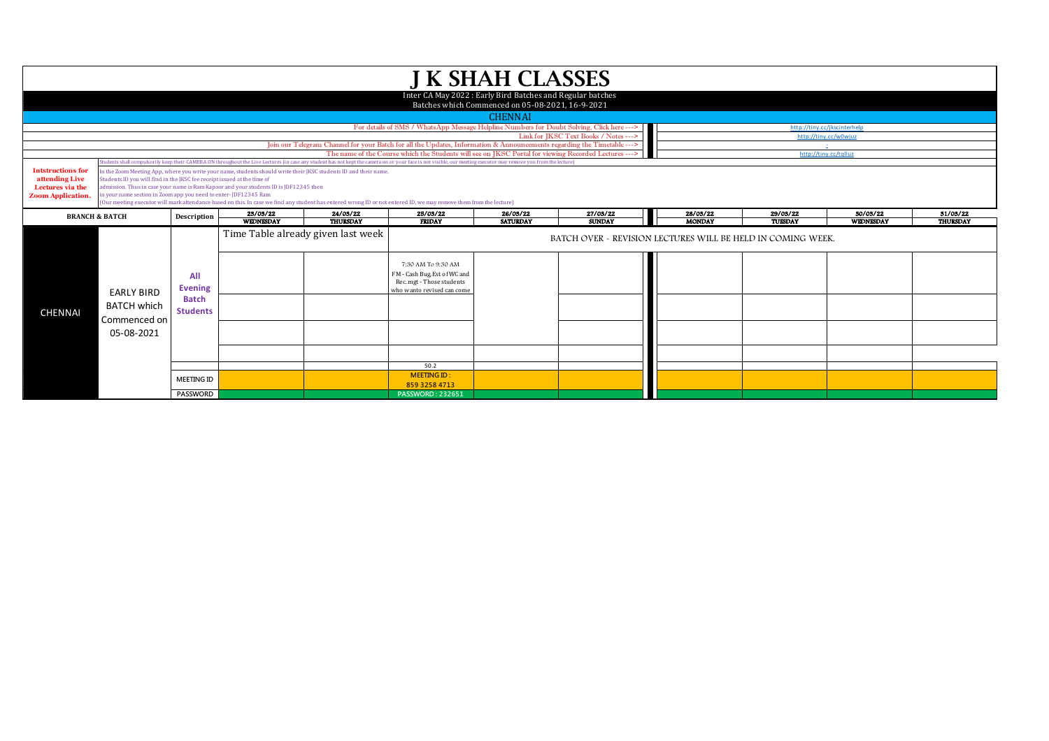|                                    |                                                                         |                   |                                                                                       |                                                                                                                  |                                                                                                                                                                                                                | <b>J K SHAH CLASSES</b>                          |                                                             |               |          |                                                       |          |
|------------------------------------|-------------------------------------------------------------------------|-------------------|---------------------------------------------------------------------------------------|------------------------------------------------------------------------------------------------------------------|----------------------------------------------------------------------------------------------------------------------------------------------------------------------------------------------------------------|--------------------------------------------------|-------------------------------------------------------------|---------------|----------|-------------------------------------------------------|----------|
|                                    |                                                                         |                   |                                                                                       |                                                                                                                  |                                                                                                                                                                                                                |                                                  |                                                             |               |          |                                                       |          |
|                                    |                                                                         |                   |                                                                                       |                                                                                                                  | Inter CA May 2022: Early Bird Batches and Regular batches                                                                                                                                                      | Batches which Commenced on 05-08-2021, 16-9-2021 |                                                             |               |          |                                                       |          |
|                                    |                                                                         |                   |                                                                                       |                                                                                                                  |                                                                                                                                                                                                                |                                                  |                                                             |               |          |                                                       |          |
|                                    |                                                                         |                   |                                                                                       |                                                                                                                  |                                                                                                                                                                                                                | <b>CHENNAI</b>                                   |                                                             |               |          |                                                       |          |
|                                    |                                                                         |                   |                                                                                       |                                                                                                                  | For details of SMS / WhatsApp Message Helpline Numbers for Doubt Solving, Click here --->                                                                                                                      |                                                  | Link for JKSC Text Books / Notes --->                       |               |          | http://tiny.cc/jkscinterhelp<br>http://tiny.cc/w0wiuz |          |
|                                    |                                                                         |                   |                                                                                       |                                                                                                                  | Join our Telegram Channel for your Batch for all the Updates, Information & Announcements regarding the Timetable --->                                                                                         |                                                  |                                                             |               |          |                                                       |          |
|                                    |                                                                         |                   |                                                                                       |                                                                                                                  | The name of the Course which the Students will see on IKSC Portal for viewing Recorded Lectures --- >                                                                                                          |                                                  |                                                             |               |          | http://tiny.cc/tallu:                                 |          |
|                                    |                                                                         |                   |                                                                                       |                                                                                                                  | udents shall compulsorily keep their CAMERA ON throughout the Live Lectures (in case any student has not kept the camera on or your face is not visible, our meeting executor may remove you from the lecture) |                                                  |                                                             |               |          |                                                       |          |
| <b>Intstructions for</b>           |                                                                         |                   |                                                                                       | In the Zoom Meeting App, where you write your name, students should write their JKSC students ID and their name. |                                                                                                                                                                                                                |                                                  |                                                             |               |          |                                                       |          |
| attending Live<br>Lectures via the | Students ID you will find in the JKSC fee receipt issued at the time of |                   | admission. Thus in case your name is Ram Kapoor and your students ID is JDF12345 then |                                                                                                                  |                                                                                                                                                                                                                |                                                  |                                                             |               |          |                                                       |          |
| <b>Zoom Application.</b>           | in your name section in Zoom app you need to enter-JDF12345 Ram         |                   |                                                                                       |                                                                                                                  |                                                                                                                                                                                                                |                                                  |                                                             |               |          |                                                       |          |
|                                    |                                                                         |                   |                                                                                       |                                                                                                                  | (Our meeting executor will mark attendance based on this. In case we find any student has entered wrong ID or not entered ID, we may remove them from the lecture)                                             |                                                  |                                                             |               |          |                                                       |          |
|                                    |                                                                         | Description       | 23/03/22                                                                              | 24/03/22                                                                                                         | 25/03/22                                                                                                                                                                                                       | 26/03/22                                         | 27/03/22                                                    | 28/03/22      | 29/03/22 | 30/03/22                                              | 31/03/22 |
|                                    |                                                                         |                   | WEDNESDAY                                                                             | <b>THURSDAY</b>                                                                                                  | <b>FRIDAY</b>                                                                                                                                                                                                  | <b>SATURDAY</b>                                  | <b>SUNDAY</b>                                               | <b>MONDAY</b> | TUESDAY  | <b>WEDNESDAY</b>                                      | THURSDAY |
|                                    | <b>BRANCH &amp; BATCH</b>                                               |                   |                                                                                       |                                                                                                                  |                                                                                                                                                                                                                |                                                  |                                                             |               |          |                                                       |          |
|                                    |                                                                         |                   |                                                                                       | Time Table already given last week                                                                               |                                                                                                                                                                                                                |                                                  |                                                             |               |          |                                                       |          |
|                                    |                                                                         |                   |                                                                                       |                                                                                                                  |                                                                                                                                                                                                                |                                                  | BATCH OVER - REVISION LECTURES WILL BE HELD IN COMING WEEK. |               |          |                                                       |          |
|                                    |                                                                         |                   |                                                                                       |                                                                                                                  |                                                                                                                                                                                                                |                                                  |                                                             |               |          |                                                       |          |
|                                    |                                                                         |                   |                                                                                       |                                                                                                                  | 7:30 AM To 9:30 AM                                                                                                                                                                                             |                                                  |                                                             |               |          |                                                       |          |
|                                    |                                                                         | All               |                                                                                       |                                                                                                                  | FM - Cash Bug, Est of WC and                                                                                                                                                                                   |                                                  |                                                             |               |          |                                                       |          |
|                                    |                                                                         |                   |                                                                                       |                                                                                                                  | Rec. mgt - Those students                                                                                                                                                                                      |                                                  |                                                             |               |          |                                                       |          |
|                                    | <b>EARLY BIRD</b>                                                       | <b>Evening</b>    |                                                                                       |                                                                                                                  | who wanto revised can come                                                                                                                                                                                     |                                                  |                                                             |               |          |                                                       |          |
|                                    | <b>BATCH which</b>                                                      | <b>Batch</b>      |                                                                                       |                                                                                                                  |                                                                                                                                                                                                                |                                                  |                                                             |               |          |                                                       |          |
| <b>CHENNAI</b>                     |                                                                         | <b>Students</b>   |                                                                                       |                                                                                                                  |                                                                                                                                                                                                                |                                                  |                                                             |               |          |                                                       |          |
|                                    | Commenced on                                                            |                   |                                                                                       |                                                                                                                  |                                                                                                                                                                                                                |                                                  |                                                             |               |          |                                                       |          |
|                                    | 05-08-2021                                                              |                   |                                                                                       |                                                                                                                  |                                                                                                                                                                                                                |                                                  |                                                             |               |          |                                                       |          |
|                                    |                                                                         |                   |                                                                                       |                                                                                                                  |                                                                                                                                                                                                                |                                                  |                                                             |               |          |                                                       |          |
|                                    |                                                                         |                   |                                                                                       |                                                                                                                  |                                                                                                                                                                                                                |                                                  |                                                             |               |          |                                                       |          |
|                                    |                                                                         |                   |                                                                                       |                                                                                                                  | 50.2                                                                                                                                                                                                           |                                                  |                                                             |               |          |                                                       |          |
|                                    |                                                                         | <b>MEETING ID</b> |                                                                                       |                                                                                                                  | <b>MEETING ID:</b>                                                                                                                                                                                             |                                                  |                                                             |               |          |                                                       |          |
|                                    |                                                                         | PASSWORD          |                                                                                       |                                                                                                                  | 859 3258 4713<br>PASSWORD: 232651                                                                                                                                                                              |                                                  |                                                             |               |          |                                                       |          |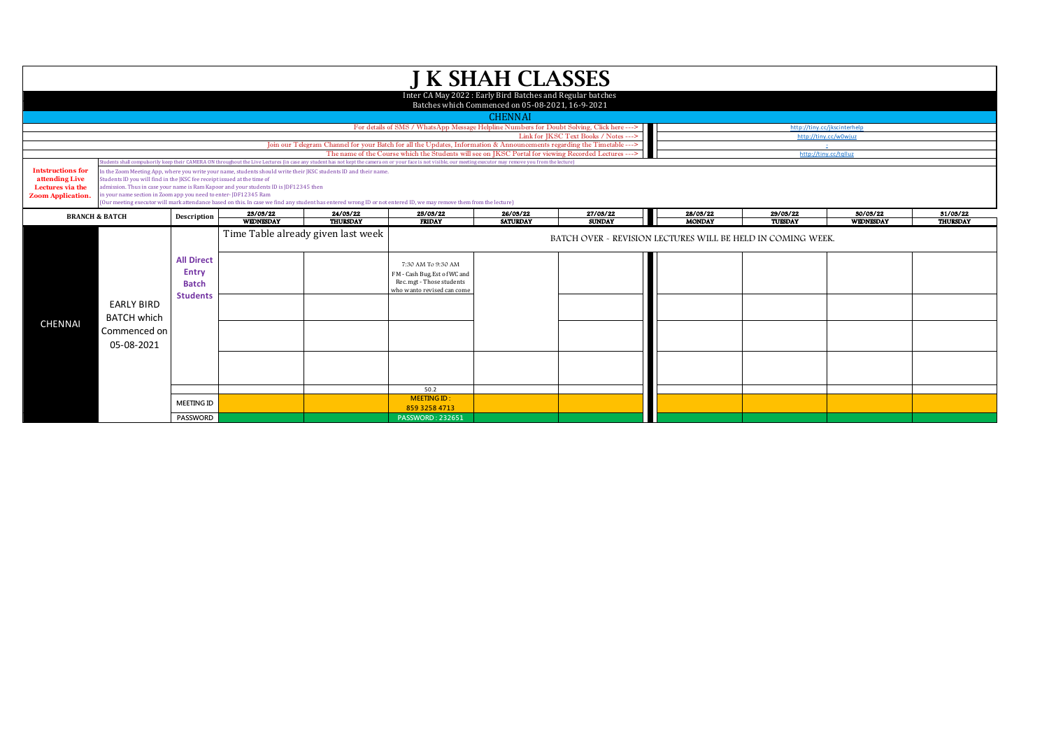| <b>J K SHAH CLASSES</b><br>Inter CA May 2022: Early Bird Batches and Regular batches<br>Batches which Commenced on 05-08-2021, 16-9-2021<br><b>CHENNAI</b><br>For details of SMS / WhatsApp Message Helpline Numbers for Doubt Solving, Click here ---><br>http://tinv.cc/ikscinterhelp<br>Link for JKSC Text Books / Notes ---><br>http://tinv.cc/w0wiuz<br>Join our Telegram Channel for your Batch for all the Updates, Information & Announcements regarding the Timetable ---><br>The name of the Course which the Students will see on JKSC Portal for viewing Recorded Lectures --- ><br>http://tiny.cc/talluz<br>dents shall compulsorily keep their CAMERA ON throughout the Live Lectures (in case any student has not kept the camera on or your face is not visible, our meeting executor may remove you from the lecture)<br><b>Intstructions for</b><br>In the Zoom Meeting App, where you write your name, students should write their JKSC students ID and their name.<br>attending Live<br>Students ID you will find in the JKSC fee receipt issued at the time of<br>Lectures via the<br>admission. Thus in case your name is Ram Kapoor and your students ID is JDF12345 then<br>in your name section in Zoom app you need to enter-JDF12345 Ram<br><b>Zoom Application.</b><br>(Our meeting executor will mark attendance based on this. In case we find any student has entered wrong ID or not entered ID, we may remove them from the lecture)<br>31/03/22<br>26/03/22<br>29/03/22<br>30/03/22<br>23/03/22<br>24/03/22<br>25/03/22<br>27/03/22<br>28/03/22<br><b>BRANCH &amp; BATCH</b><br>Description<br><b>THURSDAY</b><br><b>WEDNESDAY</b><br><b>THURSDAY</b><br><b>FRIDAY</b><br><b>SATURDAY</b><br><b>SUNDAY</b><br><b>MONDAY</b><br>TUESDAY<br>WEDNESDAY<br>Time Table already given last week<br>BATCH OVER - REVISION LECTURES WILL BE HELD IN COMING WEEK.<br><b>All Direct</b><br>7:30 AM To 9:30 AM<br>Entry<br>FM - Cash Bug, Est of WC and<br>Rec. mgt - Those students<br><b>Batch</b><br>who wanto revised can come<br><b>Students</b><br><b>EARLY BIRD</b><br><b>BATCH which</b><br><b>CHENNAI</b><br>Commenced on<br>05-08-2021<br>50.2<br><b>MEETING ID:</b><br><b>MEETING ID</b><br>859 3258 4713<br>PASSWORD<br><b>PASSWORD: 232651</b> |  |  |  |  |  |  |
|------------------------------------------------------------------------------------------------------------------------------------------------------------------------------------------------------------------------------------------------------------------------------------------------------------------------------------------------------------------------------------------------------------------------------------------------------------------------------------------------------------------------------------------------------------------------------------------------------------------------------------------------------------------------------------------------------------------------------------------------------------------------------------------------------------------------------------------------------------------------------------------------------------------------------------------------------------------------------------------------------------------------------------------------------------------------------------------------------------------------------------------------------------------------------------------------------------------------------------------------------------------------------------------------------------------------------------------------------------------------------------------------------------------------------------------------------------------------------------------------------------------------------------------------------------------------------------------------------------------------------------------------------------------------------------------------------------------------------------------------------------------------------------------------------------------------------------------------------------------------------------------------------------------------------------------------------------------------------------------------------------------------------------------------------------------------------------------------------------------------------------------------------------------------------------------------------------------------------------------------------------------------------------|--|--|--|--|--|--|
|                                                                                                                                                                                                                                                                                                                                                                                                                                                                                                                                                                                                                                                                                                                                                                                                                                                                                                                                                                                                                                                                                                                                                                                                                                                                                                                                                                                                                                                                                                                                                                                                                                                                                                                                                                                                                                                                                                                                                                                                                                                                                                                                                                                                                                                                                    |  |  |  |  |  |  |
|                                                                                                                                                                                                                                                                                                                                                                                                                                                                                                                                                                                                                                                                                                                                                                                                                                                                                                                                                                                                                                                                                                                                                                                                                                                                                                                                                                                                                                                                                                                                                                                                                                                                                                                                                                                                                                                                                                                                                                                                                                                                                                                                                                                                                                                                                    |  |  |  |  |  |  |
|                                                                                                                                                                                                                                                                                                                                                                                                                                                                                                                                                                                                                                                                                                                                                                                                                                                                                                                                                                                                                                                                                                                                                                                                                                                                                                                                                                                                                                                                                                                                                                                                                                                                                                                                                                                                                                                                                                                                                                                                                                                                                                                                                                                                                                                                                    |  |  |  |  |  |  |
|                                                                                                                                                                                                                                                                                                                                                                                                                                                                                                                                                                                                                                                                                                                                                                                                                                                                                                                                                                                                                                                                                                                                                                                                                                                                                                                                                                                                                                                                                                                                                                                                                                                                                                                                                                                                                                                                                                                                                                                                                                                                                                                                                                                                                                                                                    |  |  |  |  |  |  |
|                                                                                                                                                                                                                                                                                                                                                                                                                                                                                                                                                                                                                                                                                                                                                                                                                                                                                                                                                                                                                                                                                                                                                                                                                                                                                                                                                                                                                                                                                                                                                                                                                                                                                                                                                                                                                                                                                                                                                                                                                                                                                                                                                                                                                                                                                    |  |  |  |  |  |  |
|                                                                                                                                                                                                                                                                                                                                                                                                                                                                                                                                                                                                                                                                                                                                                                                                                                                                                                                                                                                                                                                                                                                                                                                                                                                                                                                                                                                                                                                                                                                                                                                                                                                                                                                                                                                                                                                                                                                                                                                                                                                                                                                                                                                                                                                                                    |  |  |  |  |  |  |
|                                                                                                                                                                                                                                                                                                                                                                                                                                                                                                                                                                                                                                                                                                                                                                                                                                                                                                                                                                                                                                                                                                                                                                                                                                                                                                                                                                                                                                                                                                                                                                                                                                                                                                                                                                                                                                                                                                                                                                                                                                                                                                                                                                                                                                                                                    |  |  |  |  |  |  |
|                                                                                                                                                                                                                                                                                                                                                                                                                                                                                                                                                                                                                                                                                                                                                                                                                                                                                                                                                                                                                                                                                                                                                                                                                                                                                                                                                                                                                                                                                                                                                                                                                                                                                                                                                                                                                                                                                                                                                                                                                                                                                                                                                                                                                                                                                    |  |  |  |  |  |  |
|                                                                                                                                                                                                                                                                                                                                                                                                                                                                                                                                                                                                                                                                                                                                                                                                                                                                                                                                                                                                                                                                                                                                                                                                                                                                                                                                                                                                                                                                                                                                                                                                                                                                                                                                                                                                                                                                                                                                                                                                                                                                                                                                                                                                                                                                                    |  |  |  |  |  |  |
|                                                                                                                                                                                                                                                                                                                                                                                                                                                                                                                                                                                                                                                                                                                                                                                                                                                                                                                                                                                                                                                                                                                                                                                                                                                                                                                                                                                                                                                                                                                                                                                                                                                                                                                                                                                                                                                                                                                                                                                                                                                                                                                                                                                                                                                                                    |  |  |  |  |  |  |
|                                                                                                                                                                                                                                                                                                                                                                                                                                                                                                                                                                                                                                                                                                                                                                                                                                                                                                                                                                                                                                                                                                                                                                                                                                                                                                                                                                                                                                                                                                                                                                                                                                                                                                                                                                                                                                                                                                                                                                                                                                                                                                                                                                                                                                                                                    |  |  |  |  |  |  |
|                                                                                                                                                                                                                                                                                                                                                                                                                                                                                                                                                                                                                                                                                                                                                                                                                                                                                                                                                                                                                                                                                                                                                                                                                                                                                                                                                                                                                                                                                                                                                                                                                                                                                                                                                                                                                                                                                                                                                                                                                                                                                                                                                                                                                                                                                    |  |  |  |  |  |  |
|                                                                                                                                                                                                                                                                                                                                                                                                                                                                                                                                                                                                                                                                                                                                                                                                                                                                                                                                                                                                                                                                                                                                                                                                                                                                                                                                                                                                                                                                                                                                                                                                                                                                                                                                                                                                                                                                                                                                                                                                                                                                                                                                                                                                                                                                                    |  |  |  |  |  |  |
|                                                                                                                                                                                                                                                                                                                                                                                                                                                                                                                                                                                                                                                                                                                                                                                                                                                                                                                                                                                                                                                                                                                                                                                                                                                                                                                                                                                                                                                                                                                                                                                                                                                                                                                                                                                                                                                                                                                                                                                                                                                                                                                                                                                                                                                                                    |  |  |  |  |  |  |
|                                                                                                                                                                                                                                                                                                                                                                                                                                                                                                                                                                                                                                                                                                                                                                                                                                                                                                                                                                                                                                                                                                                                                                                                                                                                                                                                                                                                                                                                                                                                                                                                                                                                                                                                                                                                                                                                                                                                                                                                                                                                                                                                                                                                                                                                                    |  |  |  |  |  |  |
|                                                                                                                                                                                                                                                                                                                                                                                                                                                                                                                                                                                                                                                                                                                                                                                                                                                                                                                                                                                                                                                                                                                                                                                                                                                                                                                                                                                                                                                                                                                                                                                                                                                                                                                                                                                                                                                                                                                                                                                                                                                                                                                                                                                                                                                                                    |  |  |  |  |  |  |
|                                                                                                                                                                                                                                                                                                                                                                                                                                                                                                                                                                                                                                                                                                                                                                                                                                                                                                                                                                                                                                                                                                                                                                                                                                                                                                                                                                                                                                                                                                                                                                                                                                                                                                                                                                                                                                                                                                                                                                                                                                                                                                                                                                                                                                                                                    |  |  |  |  |  |  |
|                                                                                                                                                                                                                                                                                                                                                                                                                                                                                                                                                                                                                                                                                                                                                                                                                                                                                                                                                                                                                                                                                                                                                                                                                                                                                                                                                                                                                                                                                                                                                                                                                                                                                                                                                                                                                                                                                                                                                                                                                                                                                                                                                                                                                                                                                    |  |  |  |  |  |  |
|                                                                                                                                                                                                                                                                                                                                                                                                                                                                                                                                                                                                                                                                                                                                                                                                                                                                                                                                                                                                                                                                                                                                                                                                                                                                                                                                                                                                                                                                                                                                                                                                                                                                                                                                                                                                                                                                                                                                                                                                                                                                                                                                                                                                                                                                                    |  |  |  |  |  |  |
|                                                                                                                                                                                                                                                                                                                                                                                                                                                                                                                                                                                                                                                                                                                                                                                                                                                                                                                                                                                                                                                                                                                                                                                                                                                                                                                                                                                                                                                                                                                                                                                                                                                                                                                                                                                                                                                                                                                                                                                                                                                                                                                                                                                                                                                                                    |  |  |  |  |  |  |
|                                                                                                                                                                                                                                                                                                                                                                                                                                                                                                                                                                                                                                                                                                                                                                                                                                                                                                                                                                                                                                                                                                                                                                                                                                                                                                                                                                                                                                                                                                                                                                                                                                                                                                                                                                                                                                                                                                                                                                                                                                                                                                                                                                                                                                                                                    |  |  |  |  |  |  |
|                                                                                                                                                                                                                                                                                                                                                                                                                                                                                                                                                                                                                                                                                                                                                                                                                                                                                                                                                                                                                                                                                                                                                                                                                                                                                                                                                                                                                                                                                                                                                                                                                                                                                                                                                                                                                                                                                                                                                                                                                                                                                                                                                                                                                                                                                    |  |  |  |  |  |  |
|                                                                                                                                                                                                                                                                                                                                                                                                                                                                                                                                                                                                                                                                                                                                                                                                                                                                                                                                                                                                                                                                                                                                                                                                                                                                                                                                                                                                                                                                                                                                                                                                                                                                                                                                                                                                                                                                                                                                                                                                                                                                                                                                                                                                                                                                                    |  |  |  |  |  |  |
|                                                                                                                                                                                                                                                                                                                                                                                                                                                                                                                                                                                                                                                                                                                                                                                                                                                                                                                                                                                                                                                                                                                                                                                                                                                                                                                                                                                                                                                                                                                                                                                                                                                                                                                                                                                                                                                                                                                                                                                                                                                                                                                                                                                                                                                                                    |  |  |  |  |  |  |
|                                                                                                                                                                                                                                                                                                                                                                                                                                                                                                                                                                                                                                                                                                                                                                                                                                                                                                                                                                                                                                                                                                                                                                                                                                                                                                                                                                                                                                                                                                                                                                                                                                                                                                                                                                                                                                                                                                                                                                                                                                                                                                                                                                                                                                                                                    |  |  |  |  |  |  |
|                                                                                                                                                                                                                                                                                                                                                                                                                                                                                                                                                                                                                                                                                                                                                                                                                                                                                                                                                                                                                                                                                                                                                                                                                                                                                                                                                                                                                                                                                                                                                                                                                                                                                                                                                                                                                                                                                                                                                                                                                                                                                                                                                                                                                                                                                    |  |  |  |  |  |  |
|                                                                                                                                                                                                                                                                                                                                                                                                                                                                                                                                                                                                                                                                                                                                                                                                                                                                                                                                                                                                                                                                                                                                                                                                                                                                                                                                                                                                                                                                                                                                                                                                                                                                                                                                                                                                                                                                                                                                                                                                                                                                                                                                                                                                                                                                                    |  |  |  |  |  |  |
|                                                                                                                                                                                                                                                                                                                                                                                                                                                                                                                                                                                                                                                                                                                                                                                                                                                                                                                                                                                                                                                                                                                                                                                                                                                                                                                                                                                                                                                                                                                                                                                                                                                                                                                                                                                                                                                                                                                                                                                                                                                                                                                                                                                                                                                                                    |  |  |  |  |  |  |
|                                                                                                                                                                                                                                                                                                                                                                                                                                                                                                                                                                                                                                                                                                                                                                                                                                                                                                                                                                                                                                                                                                                                                                                                                                                                                                                                                                                                                                                                                                                                                                                                                                                                                                                                                                                                                                                                                                                                                                                                                                                                                                                                                                                                                                                                                    |  |  |  |  |  |  |
|                                                                                                                                                                                                                                                                                                                                                                                                                                                                                                                                                                                                                                                                                                                                                                                                                                                                                                                                                                                                                                                                                                                                                                                                                                                                                                                                                                                                                                                                                                                                                                                                                                                                                                                                                                                                                                                                                                                                                                                                                                                                                                                                                                                                                                                                                    |  |  |  |  |  |  |
|                                                                                                                                                                                                                                                                                                                                                                                                                                                                                                                                                                                                                                                                                                                                                                                                                                                                                                                                                                                                                                                                                                                                                                                                                                                                                                                                                                                                                                                                                                                                                                                                                                                                                                                                                                                                                                                                                                                                                                                                                                                                                                                                                                                                                                                                                    |  |  |  |  |  |  |
|                                                                                                                                                                                                                                                                                                                                                                                                                                                                                                                                                                                                                                                                                                                                                                                                                                                                                                                                                                                                                                                                                                                                                                                                                                                                                                                                                                                                                                                                                                                                                                                                                                                                                                                                                                                                                                                                                                                                                                                                                                                                                                                                                                                                                                                                                    |  |  |  |  |  |  |
|                                                                                                                                                                                                                                                                                                                                                                                                                                                                                                                                                                                                                                                                                                                                                                                                                                                                                                                                                                                                                                                                                                                                                                                                                                                                                                                                                                                                                                                                                                                                                                                                                                                                                                                                                                                                                                                                                                                                                                                                                                                                                                                                                                                                                                                                                    |  |  |  |  |  |  |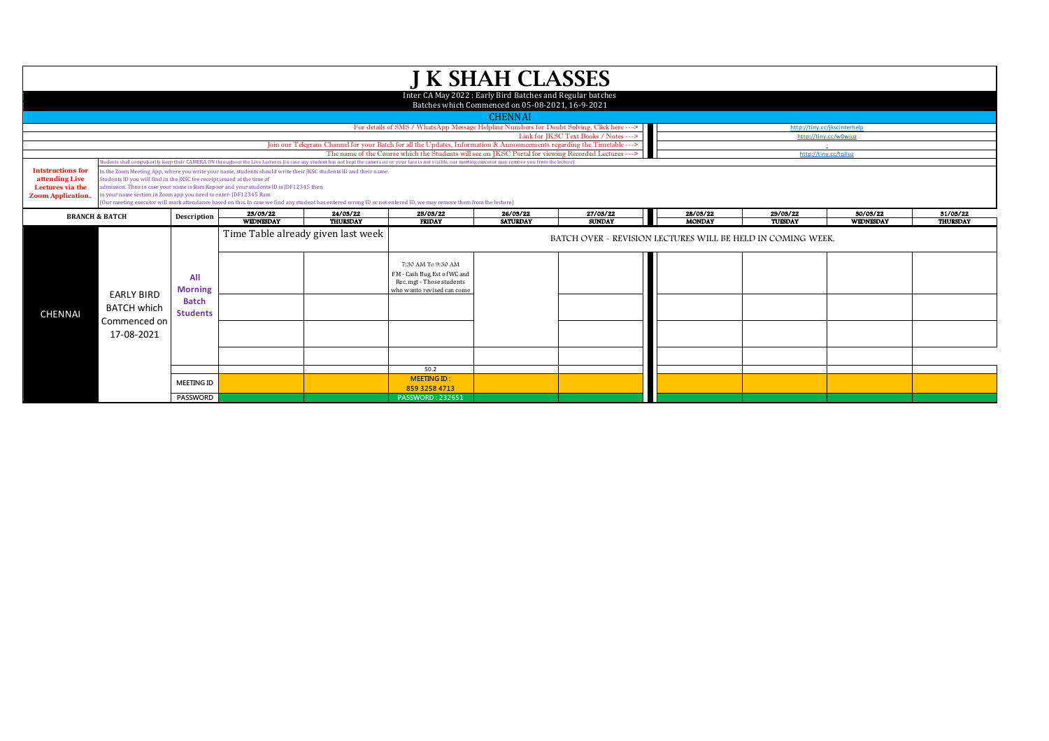|                                    |                                                                                                                                                                                                                                                                                                                                                                                                                                                                                                                                                                                                                                                                                                                                                                                                                                                                                                                                                                                                                                                                                                             |                               |          |                                                                                                       | <b>J K SHAH CLASSES</b>                          |                                                             |               |          |                              |                 |
|------------------------------------|-------------------------------------------------------------------------------------------------------------------------------------------------------------------------------------------------------------------------------------------------------------------------------------------------------------------------------------------------------------------------------------------------------------------------------------------------------------------------------------------------------------------------------------------------------------------------------------------------------------------------------------------------------------------------------------------------------------------------------------------------------------------------------------------------------------------------------------------------------------------------------------------------------------------------------------------------------------------------------------------------------------------------------------------------------------------------------------------------------------|-------------------------------|----------|-------------------------------------------------------------------------------------------------------|--------------------------------------------------|-------------------------------------------------------------|---------------|----------|------------------------------|-----------------|
|                                    |                                                                                                                                                                                                                                                                                                                                                                                                                                                                                                                                                                                                                                                                                                                                                                                                                                                                                                                                                                                                                                                                                                             |                               |          |                                                                                                       |                                                  |                                                             |               |          |                              |                 |
|                                    |                                                                                                                                                                                                                                                                                                                                                                                                                                                                                                                                                                                                                                                                                                                                                                                                                                                                                                                                                                                                                                                                                                             |                               |          | Inter CA May 2022: Early Bird Batches and Regular batches                                             | Batches which Commenced on 05-08-2021, 16-9-2021 |                                                             |               |          |                              |                 |
|                                    |                                                                                                                                                                                                                                                                                                                                                                                                                                                                                                                                                                                                                                                                                                                                                                                                                                                                                                                                                                                                                                                                                                             |                               |          |                                                                                                       | <b>CHENNAI</b>                                   |                                                             |               |          |                              |                 |
|                                    |                                                                                                                                                                                                                                                                                                                                                                                                                                                                                                                                                                                                                                                                                                                                                                                                                                                                                                                                                                                                                                                                                                             |                               |          | For details of SMS / WhatsApp Message Helpline Numbers for Doubt Solving, Click here --->             |                                                  |                                                             |               |          | http://tinv.cc/ikscinterhelp |                 |
|                                    |                                                                                                                                                                                                                                                                                                                                                                                                                                                                                                                                                                                                                                                                                                                                                                                                                                                                                                                                                                                                                                                                                                             |                               |          |                                                                                                       |                                                  | Link for JKSC Text Books / Notes --->                       |               |          | http://tiny.cc/w0wjuz        |                 |
|                                    |                                                                                                                                                                                                                                                                                                                                                                                                                                                                                                                                                                                                                                                                                                                                                                                                                                                                                                                                                                                                                                                                                                             |                               |          |                                                                                                       |                                                  |                                                             |               |          |                              |                 |
|                                    |                                                                                                                                                                                                                                                                                                                                                                                                                                                                                                                                                                                                                                                                                                                                                                                                                                                                                                                                                                                                                                                                                                             |                               |          | The name of the Course which the Students will see on JKSC Portal for viewing Recorded Lectures --- > |                                                  |                                                             |               |          | http://tinv.cc/talluz        |                 |
|                                    |                                                                                                                                                                                                                                                                                                                                                                                                                                                                                                                                                                                                                                                                                                                                                                                                                                                                                                                                                                                                                                                                                                             |                               |          |                                                                                                       |                                                  |                                                             |               |          |                              |                 |
| <b>Intstructions for</b>           |                                                                                                                                                                                                                                                                                                                                                                                                                                                                                                                                                                                                                                                                                                                                                                                                                                                                                                                                                                                                                                                                                                             |                               |          |                                                                                                       |                                                  |                                                             |               |          |                              |                 |
| attending Live<br>Lectures via the |                                                                                                                                                                                                                                                                                                                                                                                                                                                                                                                                                                                                                                                                                                                                                                                                                                                                                                                                                                                                                                                                                                             |                               |          |                                                                                                       |                                                  |                                                             |               |          |                              |                 |
| <b>Zoom Application.</b>           |                                                                                                                                                                                                                                                                                                                                                                                                                                                                                                                                                                                                                                                                                                                                                                                                                                                                                                                                                                                                                                                                                                             |                               |          |                                                                                                       |                                                  |                                                             |               |          |                              |                 |
|                                    |                                                                                                                                                                                                                                                                                                                                                                                                                                                                                                                                                                                                                                                                                                                                                                                                                                                                                                                                                                                                                                                                                                             |                               |          |                                                                                                       |                                                  |                                                             |               |          |                              |                 |
|                                    | Join our Telegram Channel for your Batch for all the Updates, Information & Announcements regarding the Timetable ---><br>udents shall compulsorily keep their CAMERA ON throughout the Live Lectures (in case any student has not kept the camera on or your face is not visible, our meeting executor may remove you from the lecture)<br>n the Zoom Meeting App, where you write your name, students should write their JKSC students ID and their name.<br>Students ID you will find in the JKSC fee receipt issued at the time of<br>admission. Thus in case your name is Ram Kapoor and your students ID is JDF12345 then<br>n your name section in Zoom app you need to enter-JDF12345 Ram<br>(Our meeting executor will mark attendance based on this. In case we find any student has entered wrong ID or not entered ID, we may remove them from the lecture)<br>23/03/22<br>24/03/22<br>Description<br>WEDNESDAY<br><b>THURSDAY</b><br>Time Table already given last week<br>All<br><b>Morning</b><br><b>EARLY BIRD</b><br><b>Batch</b><br><b>BATCH which</b><br><b>Students</b><br>Commenced on | 25/03/22                      | 26/03/22 | 27/03/22                                                                                              | 28/03/22                                         | 29/03/22                                                    | 30/03/22      | 31/03/22 |                              |                 |
|                                    |                                                                                                                                                                                                                                                                                                                                                                                                                                                                                                                                                                                                                                                                                                                                                                                                                                                                                                                                                                                                                                                                                                             |                               |          | <b>FRIDAY</b>                                                                                         | <b>SATURDAY</b>                                  | <b>SUNDAY</b>                                               | <b>MONDAY</b> | TUESDAY  | <b>WEDNESDAY</b>             | <b>THURSDAY</b> |
|                                    |                                                                                                                                                                                                                                                                                                                                                                                                                                                                                                                                                                                                                                                                                                                                                                                                                                                                                                                                                                                                                                                                                                             |                               |          |                                                                                                       |                                                  |                                                             |               |          |                              |                 |
|                                    |                                                                                                                                                                                                                                                                                                                                                                                                                                                                                                                                                                                                                                                                                                                                                                                                                                                                                                                                                                                                                                                                                                             |                               |          |                                                                                                       |                                                  |                                                             |               |          |                              |                 |
|                                    | <b>BRANCH &amp; BATCH</b>                                                                                                                                                                                                                                                                                                                                                                                                                                                                                                                                                                                                                                                                                                                                                                                                                                                                                                                                                                                                                                                                                   |                               |          |                                                                                                       |                                                  | BATCH OVER - REVISION LECTURES WILL BE HELD IN COMING WEEK. |               |          |                              |                 |
|                                    |                                                                                                                                                                                                                                                                                                                                                                                                                                                                                                                                                                                                                                                                                                                                                                                                                                                                                                                                                                                                                                                                                                             |                               |          |                                                                                                       |                                                  |                                                             |               |          |                              |                 |
|                                    |                                                                                                                                                                                                                                                                                                                                                                                                                                                                                                                                                                                                                                                                                                                                                                                                                                                                                                                                                                                                                                                                                                             |                               |          | 7:30 AM To 9:30 AM                                                                                    |                                                  |                                                             |               |          |                              |                 |
|                                    |                                                                                                                                                                                                                                                                                                                                                                                                                                                                                                                                                                                                                                                                                                                                                                                                                                                                                                                                                                                                                                                                                                             |                               |          | FM - Cash Bug, Est of WC and                                                                          |                                                  |                                                             |               |          |                              |                 |
|                                    |                                                                                                                                                                                                                                                                                                                                                                                                                                                                                                                                                                                                                                                                                                                                                                                                                                                                                                                                                                                                                                                                                                             |                               |          | Rec. mgt - Those students                                                                             |                                                  |                                                             |               |          |                              |                 |
|                                    |                                                                                                                                                                                                                                                                                                                                                                                                                                                                                                                                                                                                                                                                                                                                                                                                                                                                                                                                                                                                                                                                                                             |                               |          | who wanto revised can come                                                                            |                                                  |                                                             |               |          |                              |                 |
|                                    |                                                                                                                                                                                                                                                                                                                                                                                                                                                                                                                                                                                                                                                                                                                                                                                                                                                                                                                                                                                                                                                                                                             |                               |          |                                                                                                       |                                                  |                                                             |               |          |                              |                 |
|                                    |                                                                                                                                                                                                                                                                                                                                                                                                                                                                                                                                                                                                                                                                                                                                                                                                                                                                                                                                                                                                                                                                                                             |                               |          |                                                                                                       |                                                  |                                                             |               |          |                              |                 |
| <b>CHENNAI</b>                     |                                                                                                                                                                                                                                                                                                                                                                                                                                                                                                                                                                                                                                                                                                                                                                                                                                                                                                                                                                                                                                                                                                             |                               |          |                                                                                                       |                                                  |                                                             |               |          |                              |                 |
|                                    |                                                                                                                                                                                                                                                                                                                                                                                                                                                                                                                                                                                                                                                                                                                                                                                                                                                                                                                                                                                                                                                                                                             |                               |          |                                                                                                       |                                                  |                                                             |               |          |                              |                 |
|                                    | 17-08-2021                                                                                                                                                                                                                                                                                                                                                                                                                                                                                                                                                                                                                                                                                                                                                                                                                                                                                                                                                                                                                                                                                                  |                               |          |                                                                                                       |                                                  |                                                             |               |          |                              |                 |
|                                    |                                                                                                                                                                                                                                                                                                                                                                                                                                                                                                                                                                                                                                                                                                                                                                                                                                                                                                                                                                                                                                                                                                             |                               |          |                                                                                                       |                                                  |                                                             |               |          |                              |                 |
|                                    |                                                                                                                                                                                                                                                                                                                                                                                                                                                                                                                                                                                                                                                                                                                                                                                                                                                                                                                                                                                                                                                                                                             |                               |          |                                                                                                       |                                                  |                                                             |               |          |                              |                 |
|                                    |                                                                                                                                                                                                                                                                                                                                                                                                                                                                                                                                                                                                                                                                                                                                                                                                                                                                                                                                                                                                                                                                                                             |                               |          | 50.2                                                                                                  |                                                  |                                                             |               |          |                              |                 |
|                                    |                                                                                                                                                                                                                                                                                                                                                                                                                                                                                                                                                                                                                                                                                                                                                                                                                                                                                                                                                                                                                                                                                                             |                               |          | <b>MEETING ID:</b>                                                                                    |                                                  |                                                             |               |          |                              |                 |
|                                    |                                                                                                                                                                                                                                                                                                                                                                                                                                                                                                                                                                                                                                                                                                                                                                                                                                                                                                                                                                                                                                                                                                             | <b>MEETING ID</b><br>PASSWORD |          | 859 3258 4713<br><b>PASSWORD: 232651</b>                                                              |                                                  |                                                             |               |          |                              |                 |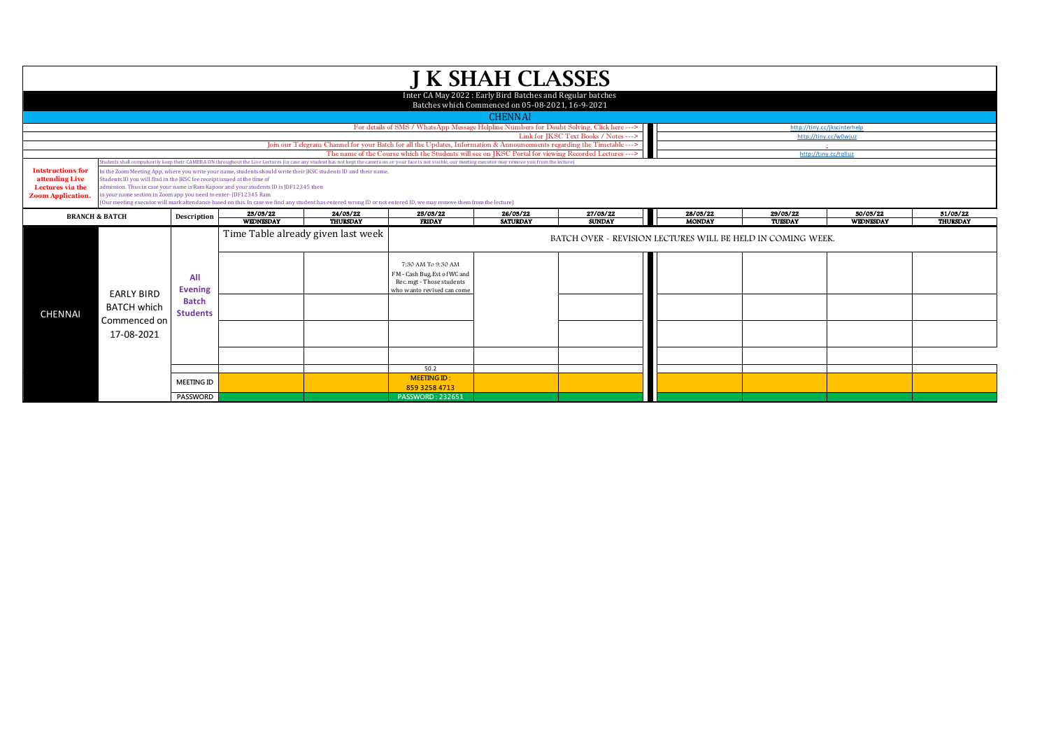|                                              |                                                                         |                                 |                                                                                       |                                                                                                                 |                                                                                                                                                                                                                                | <b>J K SHAH CLASSES</b>                          |                                       |               |                                                             |                              |          |
|----------------------------------------------|-------------------------------------------------------------------------|---------------------------------|---------------------------------------------------------------------------------------|-----------------------------------------------------------------------------------------------------------------|--------------------------------------------------------------------------------------------------------------------------------------------------------------------------------------------------------------------------------|--------------------------------------------------|---------------------------------------|---------------|-------------------------------------------------------------|------------------------------|----------|
|                                              |                                                                         |                                 |                                                                                       |                                                                                                                 | Inter CA May 2022: Early Bird Batches and Regular batches                                                                                                                                                                      |                                                  |                                       |               |                                                             |                              |          |
|                                              |                                                                         |                                 |                                                                                       |                                                                                                                 |                                                                                                                                                                                                                                | Batches which Commenced on 05-08-2021, 16-9-2021 |                                       |               |                                                             |                              |          |
|                                              |                                                                         |                                 |                                                                                       |                                                                                                                 |                                                                                                                                                                                                                                | <b>CHENNAI</b>                                   |                                       |               |                                                             |                              |          |
|                                              |                                                                         |                                 |                                                                                       |                                                                                                                 | For details of SMS / WhatsApp Message Helpline Numbers for Doubt Solving, Click here --->                                                                                                                                      |                                                  |                                       |               |                                                             | http://tiny.cc/jkscinterhelp |          |
|                                              |                                                                         |                                 |                                                                                       |                                                                                                                 |                                                                                                                                                                                                                                |                                                  | Link for JKSC Text Books / Notes ---> |               |                                                             | http://tiny.cc/w0wjuz        |          |
|                                              |                                                                         |                                 |                                                                                       |                                                                                                                 | Join our Telegram Channel for your Batch for all the Updates, Information & Announcements regarding the Timetable ---><br>The name of the Course which the Students will see on JKSC Portal for viewing Recorded Lectures ---> |                                                  |                                       |               |                                                             | http://tiny.cc/talluz        |          |
|                                              |                                                                         |                                 |                                                                                       |                                                                                                                 | tudents shall compulsorily keep their CAMERA ON throughout the Live Lectures (in case any student has not kept the camera on or your face is not visible, our meeting executor may remove you from the lecture)                |                                                  |                                       |               |                                                             |                              |          |
| <b>Intstructions for</b>                     |                                                                         |                                 |                                                                                       | n the Zoom Meeting App, where you write your name, students should write their JKSC students ID and their name. |                                                                                                                                                                                                                                |                                                  |                                       |               |                                                             |                              |          |
| attending Live                               | Students ID you will find in the JKSC fee receipt issued at the time of |                                 |                                                                                       |                                                                                                                 |                                                                                                                                                                                                                                |                                                  |                                       |               |                                                             |                              |          |
| Lectures via the<br><b>Zoom Application.</b> | n your name section in Zoom app you need to enter-JDF12345 Ram          |                                 | admission. Thus in case your name is Ram Kapoor and your students ID is JDF12345 then |                                                                                                                 |                                                                                                                                                                                                                                |                                                  |                                       |               |                                                             |                              |          |
|                                              |                                                                         |                                 |                                                                                       |                                                                                                                 | (Our meeting executor will mark attendance based on this. In case we find any student has entered wrong ID or not entered ID, we may remove them from the lecture)                                                             |                                                  |                                       |               |                                                             |                              |          |
|                                              | <b>BRANCH &amp; BATCH</b>                                               | Description                     | 23/03/22                                                                              | 24/03/22                                                                                                        | 25/03/22                                                                                                                                                                                                                       | 26/03/22                                         | 27/03/22                              | 28/03/22      | 29/03/22                                                    | 30/03/22                     | 31/03/22 |
|                                              |                                                                         |                                 | WEDNESDAY                                                                             | <b>THURSDAY</b>                                                                                                 | <b>FRIDAY</b>                                                                                                                                                                                                                  | <b>SATURDAY</b>                                  | <b>SUNDAY</b>                         | <b>MONDAY</b> | TUESDAY                                                     | WEDNESDAY                    | THURSDAY |
|                                              |                                                                         |                                 |                                                                                       | Time Table already given last week                                                                              |                                                                                                                                                                                                                                |                                                  |                                       |               | BATCH OVER - REVISION LECTURES WILL BE HELD IN COMING WEEK. |                              |          |
|                                              | <b>EARLY BIRD</b>                                                       | All<br><b>Evening</b>           |                                                                                       |                                                                                                                 | 7:30 AM To 9:30 AM<br>FM - Cash Bug, Est of WC and<br>Rec. mgt - Those students<br>who wanto revised can come                                                                                                                  |                                                  |                                       |               |                                                             |                              |          |
| <b>CHENNAI</b>                               | <b>BATCH which</b><br>Commenced on                                      | <b>Batch</b><br><b>Students</b> |                                                                                       |                                                                                                                 |                                                                                                                                                                                                                                |                                                  |                                       |               |                                                             |                              |          |
|                                              | 17-08-2021                                                              |                                 |                                                                                       |                                                                                                                 |                                                                                                                                                                                                                                |                                                  |                                       |               |                                                             |                              |          |
|                                              |                                                                         |                                 |                                                                                       |                                                                                                                 |                                                                                                                                                                                                                                |                                                  |                                       |               |                                                             |                              |          |
|                                              |                                                                         |                                 |                                                                                       |                                                                                                                 | 50.2                                                                                                                                                                                                                           |                                                  |                                       |               |                                                             |                              |          |
|                                              |                                                                         | <b>MEETING ID</b>               |                                                                                       |                                                                                                                 | <b>MEETING ID:</b><br>859 3258 4713                                                                                                                                                                                            |                                                  |                                       |               |                                                             |                              |          |
|                                              |                                                                         | <b>PASSWORD</b>                 |                                                                                       |                                                                                                                 | <b>PASSWORD: 232651</b>                                                                                                                                                                                                        |                                                  |                                       |               |                                                             |                              |          |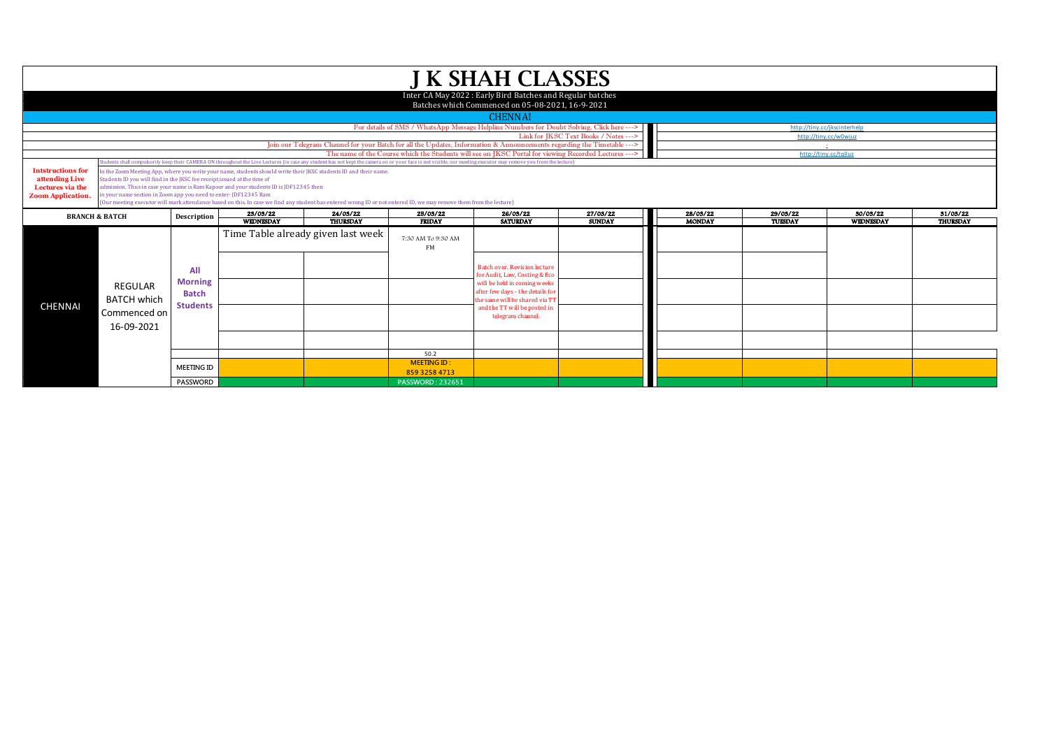|                                                                                            |                                                                                                                                            |                                                          |                                                                                       |                                                                                                                                                                                                                                                                                        |                                         | <b>J K SHAH CLASSES</b>                                                                                                                                                                                                         |                                       |                           |                     |                              |                             |
|--------------------------------------------------------------------------------------------|--------------------------------------------------------------------------------------------------------------------------------------------|----------------------------------------------------------|---------------------------------------------------------------------------------------|----------------------------------------------------------------------------------------------------------------------------------------------------------------------------------------------------------------------------------------------------------------------------------------|-----------------------------------------|---------------------------------------------------------------------------------------------------------------------------------------------------------------------------------------------------------------------------------|---------------------------------------|---------------------------|---------------------|------------------------------|-----------------------------|
|                                                                                            |                                                                                                                                            |                                                          |                                                                                       |                                                                                                                                                                                                                                                                                        |                                         | Inter CA May 2022: Early Bird Batches and Regular batches<br>Batches which Commenced on 05-08-2021, 16-9-2021                                                                                                                   |                                       |                           |                     |                              |                             |
|                                                                                            |                                                                                                                                            |                                                          |                                                                                       |                                                                                                                                                                                                                                                                                        |                                         | <b>CHENNAI</b>                                                                                                                                                                                                                  |                                       |                           |                     |                              |                             |
|                                                                                            |                                                                                                                                            |                                                          |                                                                                       |                                                                                                                                                                                                                                                                                        |                                         | For details of SMS / WhatsApp Message Helpline Numbers for Doubt Solving, Click here --->                                                                                                                                       |                                       |                           |                     | http://tiny.cc/jkscinterhelp |                             |
|                                                                                            |                                                                                                                                            |                                                          |                                                                                       |                                                                                                                                                                                                                                                                                        |                                         | Join our Telegram Channel for your Batch for all the Updates, Information & Announcements regarding the Timetable --->                                                                                                          | Link for JKSC Text Books / Notes ---> |                           |                     | http://tiny.cc/w0wjuz        |                             |
|                                                                                            |                                                                                                                                            |                                                          |                                                                                       |                                                                                                                                                                                                                                                                                        |                                         | The name of the Course which the Students will see on JKSC Portal for viewing Recorded Lectures --- >                                                                                                                           |                                       |                           |                     | http://tiny.cc/tqlluz        |                             |
|                                                                                            |                                                                                                                                            |                                                          |                                                                                       |                                                                                                                                                                                                                                                                                        |                                         | tudents shall compulsorily keep their CAMERA ON throughout the Live Lectures (in case any student has not kept the camera on or your face is not yisible, our meeting executor may remove you from the lecture)                 |                                       |                           |                     |                              |                             |
| <b>Intstructions for</b><br>attending Live<br>Lectures via the<br><b>Zoom Application.</b> | Students ID you will find in the JKSC fee receipt issued at the time of<br>in your name section in Zoom app you need to enter-JDF12345 Ram |                                                          | admission. Thus in case your name is Ram Kapoor and your students ID is JDF12345 then | In the Zoom Meeting App, where you write your name, students should write their JKSC students ID and their name.<br>(Our meeting executor will mark attendance based on this. In case we find any student has entered wrong ID or not entered ID, we may remove them from the lecture) |                                         |                                                                                                                                                                                                                                 |                                       |                           |                     |                              |                             |
| <b>BRANCH &amp; BATCH</b>                                                                  |                                                                                                                                            | Description                                              | 23/03/22<br>WEDNESDAY                                                                 | 24/03/22<br>THURSDAY                                                                                                                                                                                                                                                                   | 25/03/22<br><b>FRIDAY</b>               | 26/03/22<br><b>SATURDAY</b>                                                                                                                                                                                                     | 27/03/22<br><b>SUNDAY</b>             | 28/03/22<br><b>MONDAY</b> | 29/03/22<br>TUESDAY | 30/03/22<br><b>WEDNESDAY</b> | 31/03/22<br><b>THURSDAY</b> |
| <b>CHENNAI</b>                                                                             | REGULAR<br><b>BATCH which</b><br>Commenced on<br>16-09-2021                                                                                | All<br><b>Morning</b><br><b>Batch</b><br><b>Students</b> |                                                                                       | Time Table already given last week                                                                                                                                                                                                                                                     | 7:30 AM To 9:30 AM<br><b>FM</b><br>50.2 | <b>Batch over, Revision lecture</b><br>for Audit, Law, Costing & Eco<br>will be held in coming weeks<br>after few days - the details for<br>the same will be shared via TT<br>and the TT will be posted in<br>telegram channel. |                                       |                           |                     |                              |                             |
|                                                                                            |                                                                                                                                            |                                                          |                                                                                       |                                                                                                                                                                                                                                                                                        | <b>MEETING ID:</b>                      |                                                                                                                                                                                                                                 |                                       |                           |                     |                              |                             |
|                                                                                            |                                                                                                                                            | <b>MEETING ID</b>                                        |                                                                                       |                                                                                                                                                                                                                                                                                        | 859 3258 4713                           |                                                                                                                                                                                                                                 |                                       |                           |                     |                              |                             |
|                                                                                            |                                                                                                                                            | <b>PASSWORD</b>                                          |                                                                                       |                                                                                                                                                                                                                                                                                        | <b>PASSWORD: 232651</b>                 |                                                                                                                                                                                                                                 |                                       |                           |                     |                              |                             |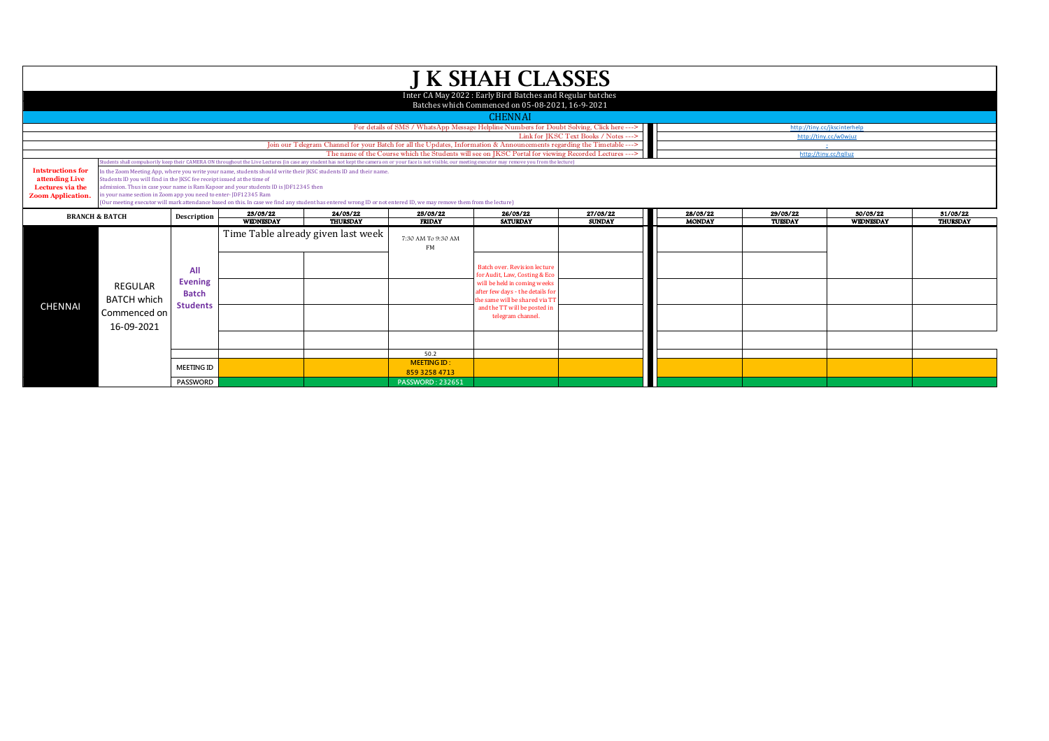|                                                                                            |                                                                                                                                            |                                                          |                                                                                       |                                                                                                                                                                                                                                                                                        |                                         | <b>J K SHAH CLASSES</b>                                                                                                                                                                                                         |                                       |                           |                     |                              |                             |
|--------------------------------------------------------------------------------------------|--------------------------------------------------------------------------------------------------------------------------------------------|----------------------------------------------------------|---------------------------------------------------------------------------------------|----------------------------------------------------------------------------------------------------------------------------------------------------------------------------------------------------------------------------------------------------------------------------------------|-----------------------------------------|---------------------------------------------------------------------------------------------------------------------------------------------------------------------------------------------------------------------------------|---------------------------------------|---------------------------|---------------------|------------------------------|-----------------------------|
|                                                                                            |                                                                                                                                            |                                                          |                                                                                       |                                                                                                                                                                                                                                                                                        |                                         | Inter CA May 2022: Early Bird Batches and Regular batches<br>Batches which Commenced on 05-08-2021, 16-9-2021                                                                                                                   |                                       |                           |                     |                              |                             |
|                                                                                            |                                                                                                                                            |                                                          |                                                                                       |                                                                                                                                                                                                                                                                                        |                                         | <b>CHENNAI</b>                                                                                                                                                                                                                  |                                       |                           |                     |                              |                             |
|                                                                                            |                                                                                                                                            |                                                          |                                                                                       |                                                                                                                                                                                                                                                                                        |                                         | For details of SMS / WhatsApp Message Helpline Numbers for Doubt Solving, Click here --->                                                                                                                                       |                                       |                           |                     | http://tiny.cc/jkscinterhelp |                             |
|                                                                                            |                                                                                                                                            |                                                          |                                                                                       |                                                                                                                                                                                                                                                                                        |                                         | Join our Telegram Channel for your Batch for all the Updates, Information & Announcements regarding the Timetable --->                                                                                                          | Link for JKSC Text Books / Notes ---> |                           |                     | http://tiny.cc/w0wjuz        |                             |
|                                                                                            |                                                                                                                                            |                                                          |                                                                                       |                                                                                                                                                                                                                                                                                        |                                         | The name of the Course which the Students will see on JKSC Portal for viewing Recorded Lectures --- >                                                                                                                           |                                       |                           |                     | http://tiny.cc/tqlluz        |                             |
|                                                                                            |                                                                                                                                            |                                                          |                                                                                       |                                                                                                                                                                                                                                                                                        |                                         | tudents shall compulsorily keep their CAMERA ON throughout the Live Lectures (in case any student has not kept the camera on or your face is not yisible, our meeting executor may remove you from the lecture)                 |                                       |                           |                     |                              |                             |
| <b>Intstructions for</b><br>attending Live<br>Lectures via the<br><b>Zoom Application.</b> | Students ID you will find in the JKSC fee receipt issued at the time of<br>in your name section in Zoom app you need to enter-JDF12345 Ram |                                                          | admission. Thus in case your name is Ram Kapoor and your students ID is JDF12345 then | In the Zoom Meeting App, where you write your name, students should write their JKSC students ID and their name.<br>(Our meeting executor will mark attendance based on this. In case we find any student has entered wrong ID or not entered ID, we may remove them from the lecture) |                                         |                                                                                                                                                                                                                                 |                                       |                           |                     |                              |                             |
| <b>BRANCH &amp; BATCH</b>                                                                  |                                                                                                                                            | Description                                              | 23/03/22<br>WEDNESDAY                                                                 | 24/03/22<br>THURSDAY                                                                                                                                                                                                                                                                   | 25/03/22<br><b>FRIDAY</b>               | 26/03/22<br><b>SATURDAY</b>                                                                                                                                                                                                     | 27/03/22<br><b>SUNDAY</b>             | 28/03/22<br><b>MONDAY</b> | 29/03/22<br>TUESDAY | 30/03/22<br><b>WEDNESDAY</b> | 31/03/22<br><b>THURSDAY</b> |
| <b>CHENNAI</b>                                                                             | REGULAR<br><b>BATCH which</b><br>Commenced on<br>16-09-2021                                                                                | All<br><b>Evening</b><br><b>Batch</b><br><b>Students</b> |                                                                                       | Time Table already given last week                                                                                                                                                                                                                                                     | 7:30 AM To 9:30 AM<br><b>FM</b><br>50.2 | <b>Batch over, Revision lecture</b><br>for Audit, Law, Costing & Eco<br>will be held in coming weeks<br>after few days - the details for<br>the same will be shared via TT<br>and the TT will be posted in<br>telegram channel. |                                       |                           |                     |                              |                             |
|                                                                                            |                                                                                                                                            |                                                          |                                                                                       |                                                                                                                                                                                                                                                                                        | <b>MEETING ID:</b>                      |                                                                                                                                                                                                                                 |                                       |                           |                     |                              |                             |
|                                                                                            |                                                                                                                                            | <b>MEETING ID</b>                                        |                                                                                       |                                                                                                                                                                                                                                                                                        | 859 3258 4713                           |                                                                                                                                                                                                                                 |                                       |                           |                     |                              |                             |
|                                                                                            |                                                                                                                                            | <b>PASSWORD</b>                                          |                                                                                       |                                                                                                                                                                                                                                                                                        | <b>PASSWORD: 232651</b>                 |                                                                                                                                                                                                                                 |                                       |                           |                     |                              |                             |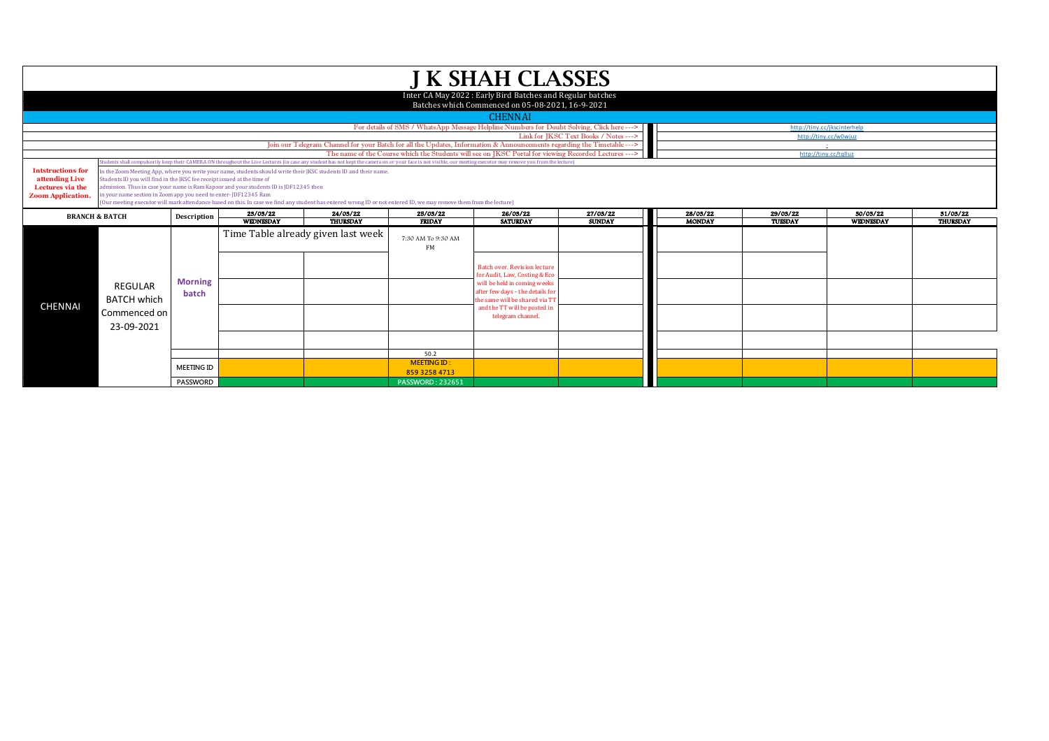|                                                                                            |                                                                                                                                            |                                      |                                                                                                                                                                                                           |                                                                                                                                                                    |                                                                | <b>J K SHAH CLASSES</b>                                                                                                                                                                                                         |                                       |                           |                       |                              |                             |
|--------------------------------------------------------------------------------------------|--------------------------------------------------------------------------------------------------------------------------------------------|--------------------------------------|-----------------------------------------------------------------------------------------------------------------------------------------------------------------------------------------------------------|--------------------------------------------------------------------------------------------------------------------------------------------------------------------|----------------------------------------------------------------|---------------------------------------------------------------------------------------------------------------------------------------------------------------------------------------------------------------------------------|---------------------------------------|---------------------------|-----------------------|------------------------------|-----------------------------|
|                                                                                            |                                                                                                                                            |                                      |                                                                                                                                                                                                           |                                                                                                                                                                    |                                                                | Inter CA May 2022: Early Bird Batches and Regular batches<br>Batches which Commenced on 05-08-2021, 16-9-2021                                                                                                                   |                                       |                           |                       |                              |                             |
|                                                                                            |                                                                                                                                            |                                      |                                                                                                                                                                                                           |                                                                                                                                                                    |                                                                | <b>CHENNAI</b>                                                                                                                                                                                                                  |                                       |                           |                       |                              |                             |
|                                                                                            |                                                                                                                                            |                                      |                                                                                                                                                                                                           |                                                                                                                                                                    |                                                                | For details of SMS / WhatsApp Message Helpline Numbers for Doubt Solving, Click here --->                                                                                                                                       |                                       |                           |                       | http://tiny.cc/jkscinterhelp |                             |
|                                                                                            |                                                                                                                                            |                                      |                                                                                                                                                                                                           |                                                                                                                                                                    |                                                                | Join our Telegram Channel for your Batch for all the Updates, Information & Announcements regarding the Timetable --->                                                                                                          | Link for IKSC Text Books / Notes ---> |                           | http://tiny.cc/w0wjuz |                              |                             |
|                                                                                            |                                                                                                                                            |                                      |                                                                                                                                                                                                           |                                                                                                                                                                    |                                                                | The name of the Course which the Students will see on IKSC Portal for viewing Recorded Lectures --- >                                                                                                                           |                                       |                           | http://tiny.cc/tqlluz |                              |                             |
|                                                                                            |                                                                                                                                            |                                      |                                                                                                                                                                                                           |                                                                                                                                                                    |                                                                | tudents shall compulsorily keep their CAMERA ON throughout the Live Lectures (in case any student has not kept the camera on or your face is not visible, our meeting executor may remove you from the lecture)                 |                                       |                           |                       |                              |                             |
| <b>Intstructions for</b><br>attending Live<br>Lectures via the<br><b>Zoom Application.</b> | Students ID you will find in the JKSC fee receipt issued at the time of<br>in your name section in Zoom app you need to enter-JDF12345 Ram |                                      | In the Zoom Meeting App, where you write your name, students should write their JKSC students ID and their name.<br>admission. Thus in case your name is Ram Kapoor and your students ID is JDF12345 then | (Our meeting executor will mark attendance based on this. In case we find any student has entered wrong ID or not entered ID, we may remove them from the lecture) |                                                                |                                                                                                                                                                                                                                 |                                       |                           |                       |                              |                             |
| <b>BRANCH &amp; BATCH</b>                                                                  |                                                                                                                                            | Description                          | 23/03/22<br>WEDNESDAY                                                                                                                                                                                     | 24/03/22<br>THURSDAY                                                                                                                                               | 25/03/22<br><b>FRIDAY</b>                                      | 26/03/22<br><b>SATURDAY</b>                                                                                                                                                                                                     | 27/03/22<br><b>SUNDAY</b>             | 28/03/22<br><b>MONDAY</b> | 29/03/22<br>TUESDAY   | 30/03/22<br><b>WEDNESDAY</b> | 31/03/22<br><b>THURSDAY</b> |
|                                                                                            |                                                                                                                                            |                                      |                                                                                                                                                                                                           | Time Table already given last week                                                                                                                                 | 7:30 AM To 9:30 AM<br><b>FM</b>                                |                                                                                                                                                                                                                                 |                                       |                           |                       |                              |                             |
| <b>CHENNAI</b>                                                                             | REGULAR<br><b>BATCH which</b><br>Commenced on<br>23-09-2021                                                                                | <b>Morning</b><br>batch              |                                                                                                                                                                                                           |                                                                                                                                                                    |                                                                | <b>Batch over. Revision lecture</b><br>for Audit, Law, Costing & Eco<br>will be held in coming weeks<br>after few days - the details for<br>the same will be shared via TT<br>and the TT will be posted in<br>telegram channel. |                                       |                           |                       |                              |                             |
|                                                                                            |                                                                                                                                            |                                      |                                                                                                                                                                                                           |                                                                                                                                                                    | 50.2                                                           |                                                                                                                                                                                                                                 |                                       |                           |                       |                              |                             |
|                                                                                            |                                                                                                                                            | <b>MEETING ID</b><br><b>PASSWORD</b> |                                                                                                                                                                                                           |                                                                                                                                                                    | <b>MEETING ID:</b><br>859 3258 4713<br><b>PASSWORD: 232651</b> |                                                                                                                                                                                                                                 |                                       |                           |                       |                              |                             |